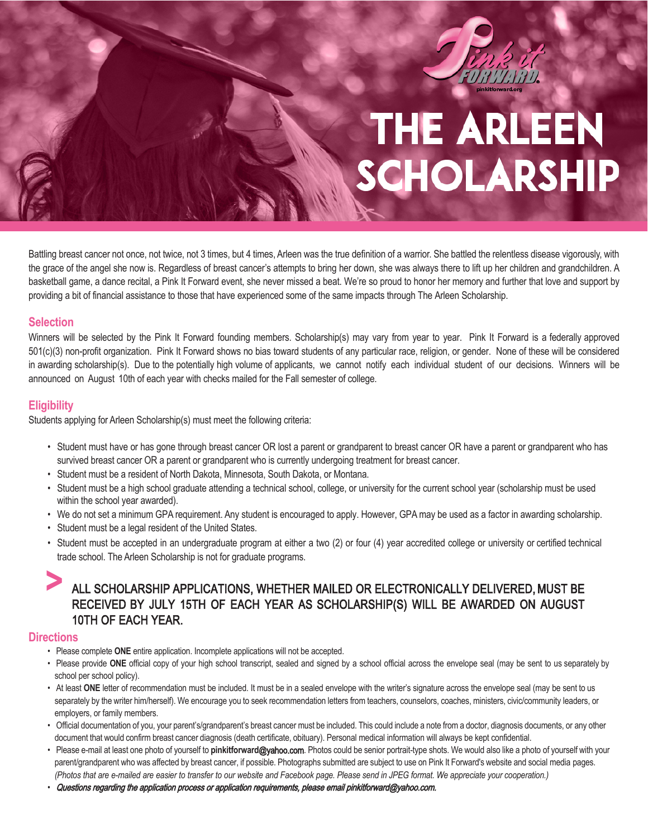

Battling breast cancer not once, not twice, not 3 times, but 4 times, Arleen was the true definition of a warrior. She battled the relentless disease vigorously, with the grace of the angel she now is. Regardless of breast cancer's attempts to bring her down, she was always there to lift up her children and grandchildren. A basketball game, a dance recital, a Pink It Forward event, she never missed a beat. We're so proud to honor her memory and further that love and support by providing a bit of financial assistance to those that have experienced some of the same impacts through The Arleen Scholarship.

#### **Selection**

Winners will be selected by the Pink It Forward founding members. Scholarship(s) may vary from year to year. Pink It Forward is a federally approved 501(c)(3) non-profit organization. Pink It Forward shows no bias toward students of any particular race, religion, or gender. None of these will be considered in awarding scholarship(s). Due to the potentially high volume of applicants, we cannot notify each individual student of our decisions. Winners will be announced on August 10th of each year with checks mailed for the Fall semester of college.

#### **Eligibility**

Students applying for Arleen Scholarship(s) must meet the following criteria:

- Student must have or has gone through breast cancer OR lost a parent or grandparent to breast cancer OR have a parent or grandparent who has survived breast cancer OR a parent or grandparent who is currently undergoing treatment for breast cancer.
- Student must be a resident of North Dakota, Minnesota, South Dakota, or Montana.
- Student must be a high school graduate attending a technical school, college, or university for the current school year (scholarship must be used within the school year awarded).
- We do not set a minimum GPA requirement. Any student is encouraged to apply. However, GPAmay be used as a factor in awarding scholarship.
- Student must be a legal resident of the United States.
- Student must be accepted in an undergraduate program at either a two (2) or four (4) year accredited college or university or certified technical trade school. The Arleen Scholarship is not for graduate programs.

### **>** ALL SCHOLARSHIP APPLICATIONS, WHETHER MAILED OR ELECTRONICALLY DELIVERED, MUST BE RECEIVED BY JULY 15TH OF EACH YEAR AS SCHOLARSHIP(S) WILL BE AWARDED ON AUGUST 10TH OF EACH YEAR.

#### **Directions**

- Please complete **ONE** entire application. Incomplete applications will not be accepted.
- Please provide **ONE** official copy of your high school transcript, sealed and signed by a school official across the envelope seal (may be sent to us separately by school per school policy).
- At least ONE letter of recommendation must be included. It must be in a sealed envelope with the writer's signature across the envelope seal (may be sent to us separately by the writer him/herself). We encourage you to seek recommendation letters from teachers, counselors, coaches, ministers, civic/community leaders, or employers, or family members.
- Official documentation of you, your parent's/grandparent's breast cancer must be included. This could include a note from a doctor, diagnosis documents, or any other document that would confirm breast cancer diagnosis (death certificate, obituary). Personal medical information will always be kept confidential.
- Please e-mail at least one photo of yourself to **pinkitforward**@yahoo.com. Photos could be senior portrait-type shots. We would also like a photo of yourself with your parent/grandparent who was affected by breast cancer, if possible. Photographs submitted are subject to use on Pink It Forward's website and social media pages. *(Photos that are e-mailed are easier to transfer to our website and Facebook page. Please send in JPEG format. We appreciate your cooperation.)*
- Questions regarding the application process or application requirements, please email pinkitforward@yahoo.com.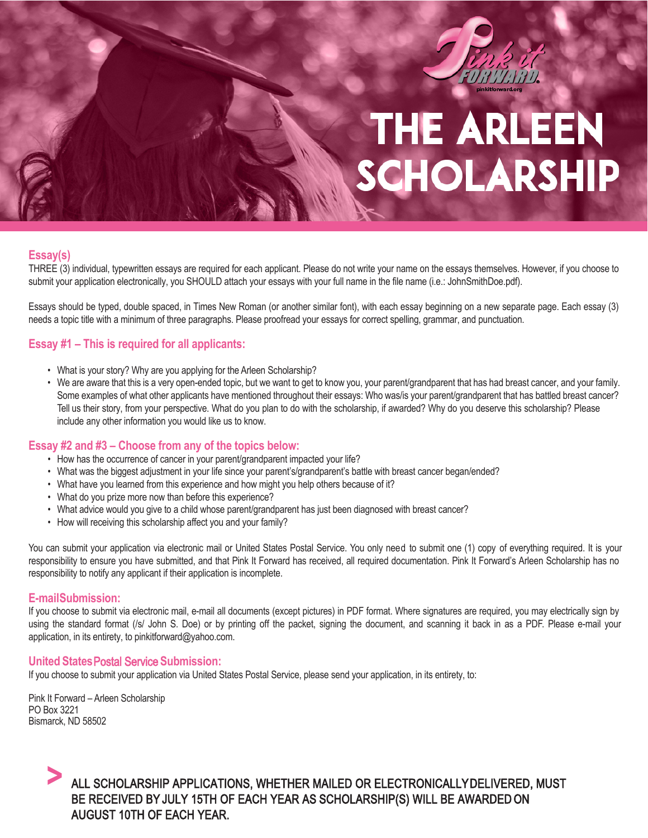

#### **Essay(s)**

THREE (3) individual, typewritten essays are required for each applicant. Please do not write your name on the essays themselves. However, if you choose to submit your application electronically, you SHOULD attach your essays with your full name in the file name (i.e.: JohnSmithDoe.pdf).

Essays should be typed, double spaced, in Times New Roman (or another similar font), with each essay beginning on a new separate page. Each essay (3) needs a topic title with a minimum of three paragraphs. Please proofread your essays for correct spelling, grammar, and punctuation.

#### **Essay #1 – This is required for all applicants:**

- What is your story? Why are you applying for the Arleen Scholarship?
- We are aware that this is a very open-ended topic, but we want to get to know you, your parent/grandparent that has had breast cancer, and your family. Some examples of what other applicants have mentioned throughout their essays: Who was/is your parent/grandparent that has battled breast cancer? Tell us their story, from your perspective. What do you plan to do with the scholarship, if awarded? Why do you deserve this scholarship? Please include any other information you would like us to know.

#### **Essay #2 and #3 – Choose from any of the topics below:**

- How has the occurrence of cancer in your parent/grandparent impacted your life?
- What was the biggest adjustment in your life since your parent's/grandparent's battle with breast cancer began/ended?
- What have you learned from this experience and how might you help others because of it?
- What do you prize more now than before this experience?
- What advice would you give to a child whose parent/grandparent has just been diagnosed with breast cancer?
- How will receiving this scholarship affect you and your family?

You can submit your application via electronic mail or United States Postal Service. You only need to submit one (1) copy of everything required. It is your responsibility to ensure you have submitted, and that Pink It Forward has received, all required documentation. Pink It Forward's Arleen Scholarship has no responsibility to notify any applicant if their application is incomplete.

#### **E-mail Submission:**

If you choose to submit via electronic mail, e-mail all documents (except pictures) in PDF format. Where signatures are required, you may electrically sign by using the standard format (/s/ John S. Doe) or by printing off the packet, signing the document, and scanning it back in as a PDF. Please e-mail your application, in its entirety, to pinkitforward@yahoo.com.

#### **United States** Postal Service **Submission:**

If you choose to submit your application via United States Postal Service, please send your application, in its entirety, to:

Pink It Forward – Arleen Scholarship PO Box 3221 Bismarck, ND 58502

#### **>** ALL SCHOLARSHIP APPLICATIONS, WHETHER MAILED OR ELECTRONICALLY DELIVERED, MUST BE RECEIVED BY JULY 15TH OF EACH YEAR AS SCHOLARSHIP(S) WILL BE AWARDED ON AUGUST 10TH OF EACH YEAR.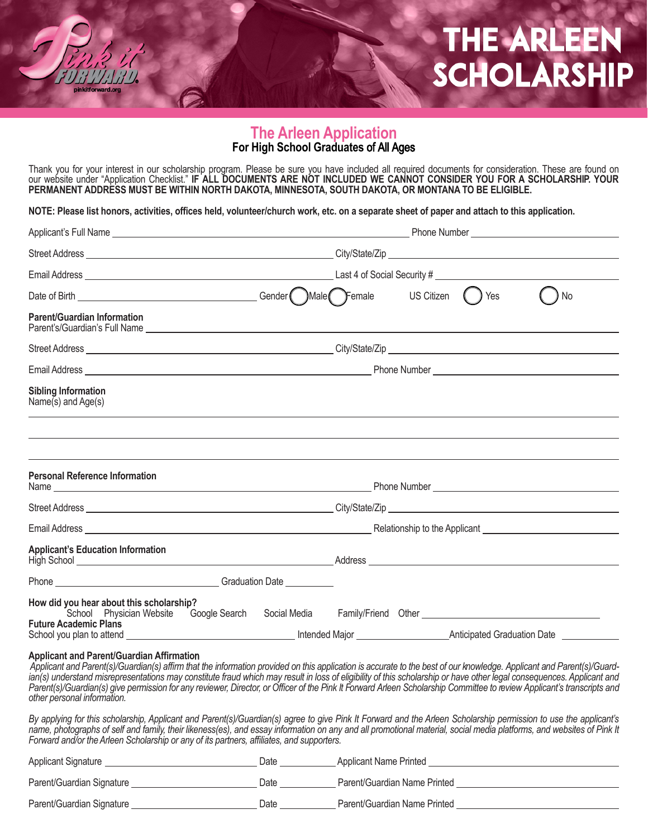#### **The Arleen Application For High School Graduates** of All Ages

Thank you for your interest in our scholarship program. Please be sure you have included all required documents for consideration. These are found on our website under "Application Checklist." **IF ALL DOCUMENTS ARE NOT INCLUDED WE CANNOT CONSIDER YOU FOR A SCHOLARSHIP. YOUR PERMANENT ADDRESS MUST BE WITHIN NORTH DAKOTA, MINNESOTA, SOUTH DAKOTA, OR MONTANA TO BE ELIGIBLE.**

**NOTE: Please list honors, activities, offices held, volunteer/church work, etc. on a separate sheet of paper and attach to this application.**

|  |  |  |  | <b>No</b>                                                                                                                                                                                                                                                                                                                                                                                                                                                                                                                                                                                                                                                                                                                                                                 |
|--|--|--|--|---------------------------------------------------------------------------------------------------------------------------------------------------------------------------------------------------------------------------------------------------------------------------------------------------------------------------------------------------------------------------------------------------------------------------------------------------------------------------------------------------------------------------------------------------------------------------------------------------------------------------------------------------------------------------------------------------------------------------------------------------------------------------|
|  |  |  |  |                                                                                                                                                                                                                                                                                                                                                                                                                                                                                                                                                                                                                                                                                                                                                                           |
|  |  |  |  |                                                                                                                                                                                                                                                                                                                                                                                                                                                                                                                                                                                                                                                                                                                                                                           |
|  |  |  |  |                                                                                                                                                                                                                                                                                                                                                                                                                                                                                                                                                                                                                                                                                                                                                                           |
|  |  |  |  |                                                                                                                                                                                                                                                                                                                                                                                                                                                                                                                                                                                                                                                                                                                                                                           |
|  |  |  |  |                                                                                                                                                                                                                                                                                                                                                                                                                                                                                                                                                                                                                                                                                                                                                                           |
|  |  |  |  |                                                                                                                                                                                                                                                                                                                                                                                                                                                                                                                                                                                                                                                                                                                                                                           |
|  |  |  |  |                                                                                                                                                                                                                                                                                                                                                                                                                                                                                                                                                                                                                                                                                                                                                                           |
|  |  |  |  |                                                                                                                                                                                                                                                                                                                                                                                                                                                                                                                                                                                                                                                                                                                                                                           |
|  |  |  |  |                                                                                                                                                                                                                                                                                                                                                                                                                                                                                                                                                                                                                                                                                                                                                                           |
|  |  |  |  |                                                                                                                                                                                                                                                                                                                                                                                                                                                                                                                                                                                                                                                                                                                                                                           |
|  |  |  |  |                                                                                                                                                                                                                                                                                                                                                                                                                                                                                                                                                                                                                                                                                                                                                                           |
|  |  |  |  |                                                                                                                                                                                                                                                                                                                                                                                                                                                                                                                                                                                                                                                                                                                                                                           |
|  |  |  |  |                                                                                                                                                                                                                                                                                                                                                                                                                                                                                                                                                                                                                                                                                                                                                                           |
|  |  |  |  | Applicant and Parent(s)/Guardian(s) affirm that the information provided on this application is accurate to the best of our knowledge. Applicant and Parent(s)/Guard-<br>ian(s) understand misrepresentations may constitute fraud which may result in loss of eligibility of this scholarship or have other legal consequences. Applicant and<br>Parent(s)/Guardian(s) give permission for any reviewer, Director, or Officer of the Pink It Forward Arleen Scholarship Committee to review Applicant's transcripts and<br>$\blacksquare$ . The contract of the contract of $\blacksquare$ . The contract of the contract of the contract of the contract of the contract of the contract of the contract of the contract of the contract of the contract of the contrac |

*By applying for this scholarship, Applicant and Parent(s)/Guardian(s) agree to give Pink It Forward and the Arleen Scholarship permission to use the applicant's name, photographs of self and family, their likeness(es), and essay information on any and all promotional material, social media platforms, and websites of Pink It Forward and/or the Arleen Scholarship or any of its partners, affiliates, and supporters.*

| Applicant Signature       | Date | Applicant Name Printed       |
|---------------------------|------|------------------------------|
| Parent/Guardian Signature | Date | Parent/Guardian Name Printed |
| Parent/Guardian Signature | Date | Parent/Guardian Name Printed |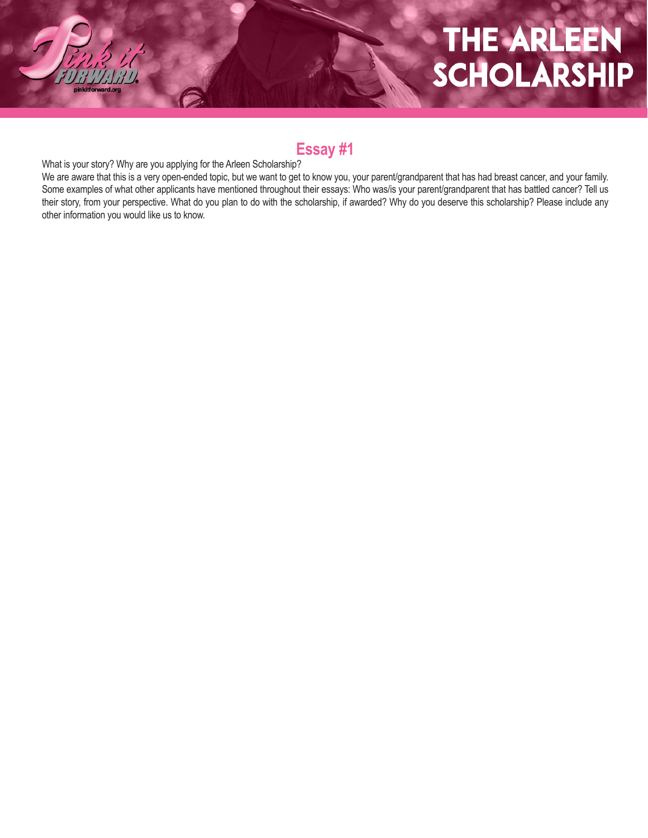### **Essay #1**

What is your story? Why are you applying for the Arleen Scholarship?

We are aware that this is a very open-ended topic, but we want to get to know you, your parent/grandparent that has had breast cancer, and your family. Some examples of what other applicants have mentioned throughout their essays: Who was/is your parent/grandparent that has battled cancer? Tell us their story, from your perspective. What do you plan to do with the scholarship, if awarded? Why do you deserve this scholarship? Please include any other information you would like us to know.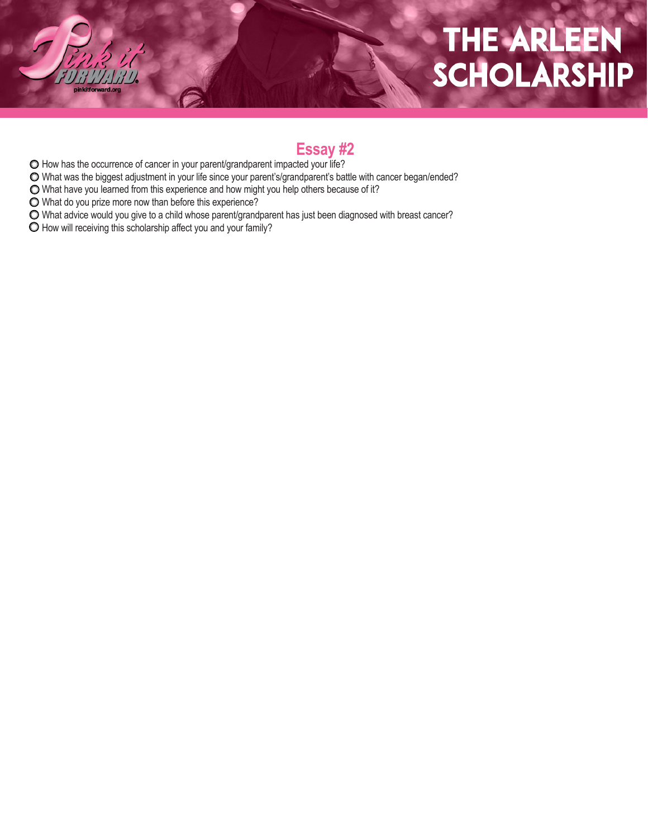### **Essay #2**

- How has the occurrence of cancer in your parent/grandparent impacted your life?
- What was the biggest adjustment in your life since your parent's/grandparent's battle with cancer began/ended?
- What have you learned from this experience and how might you help others because of it?
- What do you prize more now than before this experience?
- What advice would you give to a child whose parent/grandparent has just been diagnosed with breast cancer?
- $\bigcirc$  How will receiving this scholarship affect you and your family?